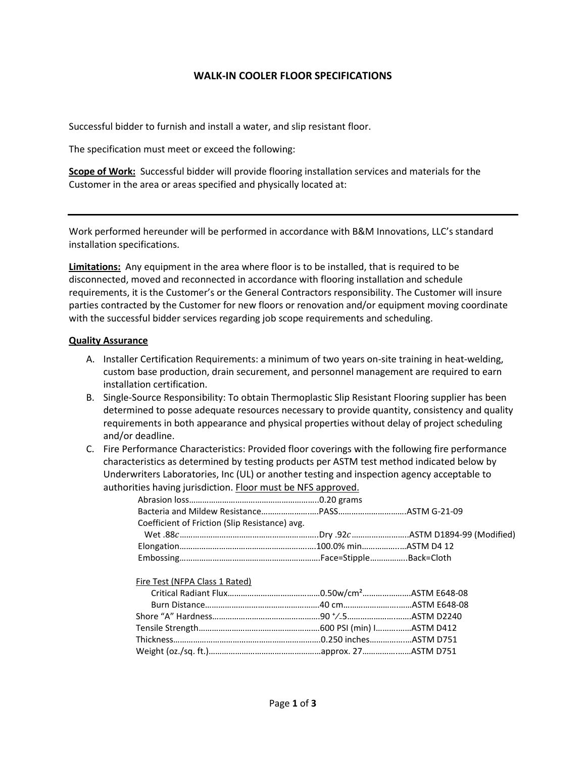## **WALK-IN COOLER FLOOR SPECIFICATIONS**

Successful bidder to furnish and install a water, and slip resistant floor.

The specification must meet or exceed the following:

**Scope of Work:** Successful bidder will provide flooring installation services and materials for the Customer in the area or areas specified and physically located at:

Work performed hereunder will be performed in accordance with B&M Innovations, LLC's standard installation specifications.

**Limitations:** Any equipment in the area where floor is to be installed, that is required to be disconnected, moved and reconnected in accordance with flooring installation and schedule requirements, it is the Customer's or the General Contractors responsibility. The Customer will insure parties contracted by the Customer for new floors or renovation and/or equipment moving coordinate with the successful bidder services regarding job scope requirements and scheduling.

## **Quality Assurance**

- A. Installer Certification Requirements: a minimum of two years on-site training in heat-welding, custom base production, drain securement, and personnel management are required to earn installation certification.
- B. Single-Source Responsibility: To obtain Thermoplastic Slip Resistant Flooring supplier has been determined to posse adequate resources necessary to provide quantity, consistency and quality requirements in both appearance and physical properties without delay of project scheduling and/or deadline.
- C. Fire Performance Characteristics: Provided floor coverings with the following fire performance characteristics as determined by testing products per ASTM test method indicated below by Underwriters Laboratories, Inc (UL) or another testing and inspection agency acceptable to authorities having jurisdiction. Floor must be NFS approved.

| Coefficient of Friction (Slip Resistance) avg. |  |
|------------------------------------------------|--|
|                                                |  |
|                                                |  |
|                                                |  |

| Fire Test (NFPA Class 1 Rated) |  |
|--------------------------------|--|
|                                |  |
|                                |  |
|                                |  |
|                                |  |
|                                |  |
|                                |  |
|                                |  |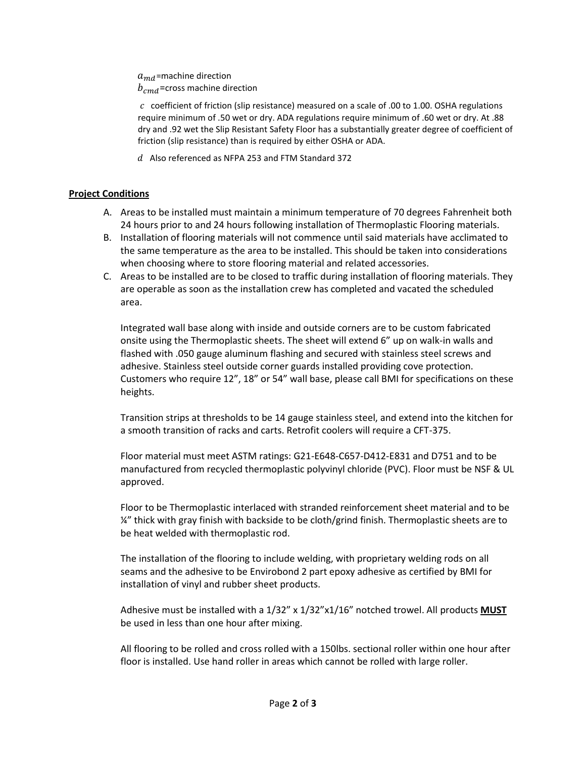$a_{md}$ =machine direction  $b_{cmd}$ =cross machine direction

 $c$  coefficient of friction (slip resistance) measured on a scale of .00 to 1.00. OSHA regulations require minimum of .50 wet or dry. ADA regulations require minimum of .60 wet or dry. At .88 dry and .92 wet the Slip Resistant Safety Floor has a substantially greater degree of coefficient of friction (slip resistance) than is required by either OSHA or ADA.

 $d$  Also referenced as NFPA 253 and FTM Standard 372

## **Project Conditions**

- A. Areas to be installed must maintain a minimum temperature of 70 degrees Fahrenheit both 24 hours prior to and 24 hours following installation of Thermoplastic Flooring materials.
- B. Installation of flooring materials will not commence until said materials have acclimated to the same temperature as the area to be installed. This should be taken into considerations when choosing where to store flooring material and related accessories.
- C. Areas to be installed are to be closed to traffic during installation of flooring materials. They are operable as soon as the installation crew has completed and vacated the scheduled area.

Integrated wall base along with inside and outside corners are to be custom fabricated onsite using the Thermoplastic sheets. The sheet will extend 6" up on walk-in walls and flashed with .050 gauge aluminum flashing and secured with stainless steel screws and adhesive. Stainless steel outside corner guards installed providing cove protection. Customers who require 12", 18" or 54" wall base, please call BMI for specifications on these heights.

Transition strips at thresholds to be 14 gauge stainless steel, and extend into the kitchen for a smooth transition of racks and carts. Retrofit coolers will require a CFT-375.

Floor material must meet ASTM ratings: G21-E648-C657-D412-E831 and D751 and to be manufactured from recycled thermoplastic polyvinyl chloride (PVC). Floor must be NSF & UL approved.

Floor to be Thermoplastic interlaced with stranded reinforcement sheet material and to be ¼" thick with gray finish with backside to be cloth/grind finish. Thermoplastic sheets are to be heat welded with thermoplastic rod.

The installation of the flooring to include welding, with proprietary welding rods on all seams and the adhesive to be Envirobond 2 part epoxy adhesive as certified by BMI for installation of vinyl and rubber sheet products.

Adhesive must be installed with a 1/32" x 1/32"x1/16" notched trowel. All products **MUST** be used in less than one hour after mixing.

All flooring to be rolled and cross rolled with a 150lbs. sectional roller within one hour after floor is installed. Use hand roller in areas which cannot be rolled with large roller.